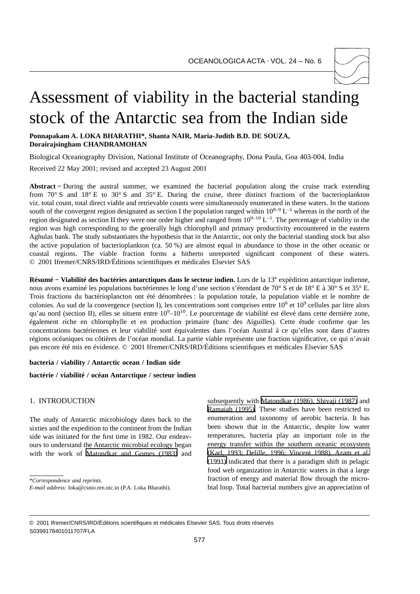

# Assessment of viability in the bacterial standing stock of the Antarctic sea from the Indian side

**Ponnapakam A. LOKA BHARATHI\*, Shanta NAIR, Maria-Judith B.D. DE SOUZA, Dorairajsingham CHANDRAMOHAN**

Biological Oceanography Division, National Institute of Oceanography, Dona Paula, Goa 403-004, India

Received 22 May 2001; revised and accepted 23 August 2001

**Abstract −** During the austral summer, we examined the bacterial population along the cruise track extending from 70° S and 18° E to 30° S and 35° E. During the cruise, three distinct fractions of the bacterioplankton viz. total count, total direct viable and retrievable counts were simultaneously enumerated in these waters. In the stations south of the convergent region designated as section I the population ranged within  $10^{8-9}$  L<sup>-1</sup> whereas in the north of the region designated as section II they were one order higher and ranged from  $10^{9-10}$  L<sup>-1</sup>. The percentage of viability in the region was high corresponding to the generally high chlorophyll and primary productivity encountered in the eastern Aghulas bank. The study substantiates the hypothesis that in the Antarctic, not only the bacterial standing stock but also the active population of bacterioplankton (ca. 50 %) are almost equal in abundance to those in the other oceanic or coastal regions. The viable fraction forms a hitherto unreported significant component of these waters. © 2001 Ifremer/CNRS/IRD/Éditions scientifiques et médicales Elsevier SAS

**Résumé − Viabilité des bactéries antarctiques dans le secteur indien.** Lors de la 13e expédition antarctique indienne, nous avons examiné les populations bactériennes le long d'une section s'étendant de 70° S et de 18° E à 30° S et 35° E. Trois fractions du bactérioplancton ont été dénombrées : la population totale, la population viable et le nombre de colonies. Au sud de la convergence (section I), les concentrations sont comprises entre  $10^8$  et  $10^9$  cellules par litre alors qu'au nord (section II), elles se situent entre  $10^9 - 10^{10}$ . Le pourcentage de viabilité est élevé dans cette dernière zone, également riche en chlorophylle et en production primaire (banc des Aiguilles). Cette étude confirme que les concentrations bactériennes et leur viabilité sont équivalentes dans l'océan Austral à ce qu'elles sont dans d'autres régions océaniques ou côtières de l'océan mondial. La partie viable représente une fraction significative, ce qui n'avait pas encore été mis en évidence. © 2001 Ifremer/CNRS/IRD/Éditions scientifiques et médicales Elsevier SAS

#### **bacteria / viability / Antarctic ocean / Indian side**

**bactérie / viabilité / océan Antarctique / secteur indien**

## 1. INTRODUCTION

The study of Antarctic microbiology dates back to the sixties and the expedition to the continent from the Indian side was initiated for the first time in 1982. Our endeavours to understand the Antarctic microbial ecology began with the work of [Matondkar and Gomes \(1983\)](#page-3-0) and

\**Correspondence and reprints*.

subsequently with [Matondkar \(1986\), Shivaji \(1987\)](#page-3-0) and [Ramaiah \(1995\).](#page-3-0) These studies have been restricted to enumeration and taxonomy of aerobic bacteria. It has been shown that in the Antarctic, despite low water temperatures, bacteria play an important role in the energy transfer within the southern oceanic ecosystem [\(Karl, 1993; Delille, 1996; Vincent 1988\). Azam et al.](#page-3-0) [\(1991\)](#page-3-0) indicated that there is a paradigm shift in pelagic food web organization in Antarctic waters in that a large fraction of energy and material flow through the microbial loop. Total bacterial numbers give an appreciation of

*E-mail address:* loka@csnio.ren.nic.in (P.A. Loka Bharathi).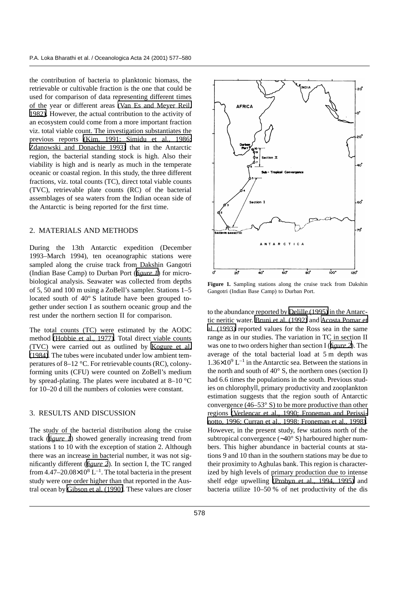the contribution of bacteria to planktonic biomass, the retrievable or cultivable fraction is the one that could be used for comparison of data representing different times of the year or different areas [\(Van Es and Meyer Reil,](#page-3-0) [1982\)](#page-3-0). However, the actual contribution to the activity of an ecosystem could come from a more important fraction viz. total viable count. The investigation substantiates the previous reports [\(Kim, 1991; Simidu et al., 1986;](#page-3-0) [Zdanowski and Donachie 1993\)](#page-3-0) that in the Antarctic region, the bacterial standing stock is high. Also their viability is high and is nearly as much in the temperate oceanic or coastal region. In this study, the three different fractions, viz. total counts (TC), direct total viable counts (TVC), retrievable plate counts (RC) of the bacterial assemblages of sea waters from the Indian ocean side of the Antarctic is being reported for the first time.

## 2. MATERIALS AND METHODS

During the 13th Antarctic expedition (December 1993–March 1994), ten oceanographic stations were sampled along the cruise track from Dakshin Gangotri (Indian Base Camp) to Durban Port (*figure 1*) for microbiological analysis. Seawater was collected from depths of 5, 50 and 100 m using a ZoBell's sampler. Stations 1–5 located south of 40° S latitude have been grouped together under section I as southern oceanic group and the rest under the northern section II for comparison.

The total counts (TC) were estimated by the AODC method [\(Hobbie et al., 1977\)](#page-3-0). Total direct viable counts (TVC) were carried out as outlined by [Kogure et al.](#page-3-0) [\(1984\)](#page-3-0). The tubes were incubated under low ambient temperatures of 8–12 °C. For retrievable counts (RC), colonyforming units (CFU) were counted on ZoBell's medium by spread-plating. The plates were incubated at 8–10 °C for 10–20 d till the numbers of colonies were constant.

## 3. RESULTS AND DISCUSSION

The study of the bacterial distribution along the cruise track (*figure 1*) showed generally increasing trend from stations 1 to 10 with the exception of station 2. Although there was an increase in bacterial number, it was not significantly different (*[figure 2](#page-2-0)*). In section I, the TC ranged from  $4.47-20.08\times10^8$  L<sup>-1</sup>. The total bacteria in the present study were one order higher than that reported in the Austral ocean by [Gibson et al. \(1990\)](#page-3-0). These values are closer



**Figure 1.** Sampling stations along the cruise track from Dakshin Gangotri (Indian Base Camp) to Durban Port.

to the abundance reported by [Delille \(1995\)](#page-3-0) in the Antarctic neritic water. [Bruni et al. \(1992\)](#page-3-0) and [Acosta Pomar et](#page-3-0) [al. \(1993\)](#page-3-0) reported values for the Ross sea in the same range as in our studies. The variation in TC in section II was one to two orders higher than section I (*[figure 2](#page-2-0)*). The average of the total bacterial load at 5 m depth was  $1.36\times10^{9}$  L<sup>-1</sup> in the Antarctic sea. Between the stations in the north and south of  $40^{\circ}$  S, the northern ones (section I) had 6.6 times the populations in the south. Previous studies on chlorophyll, primary productivity and zooplankton estimation suggests that the region south of Antarctic convergence  $(46-53° S)$  to be more productive than other regions [\(Verlencar et al., 1990; Froneman and Perissi](#page-3-0)[notto, 1996; Curran et al., 1998; Froneman et al., 1998\)](#page-3-0). However, in the present study, few stations north of the subtropical convergence (∼40° S) harboured higher numbers. This higher abundance in bacterial counts at stations 9 and 10 than in the southern stations may be due to their proximity to Aghulas bank. This region is characterized by high levels of primary production due to intense shelf edge upwelling [\(Probyn et al., 1994, 1995\)](#page-3-0) and bacteria utilize 10–50 % of net productivity of the dis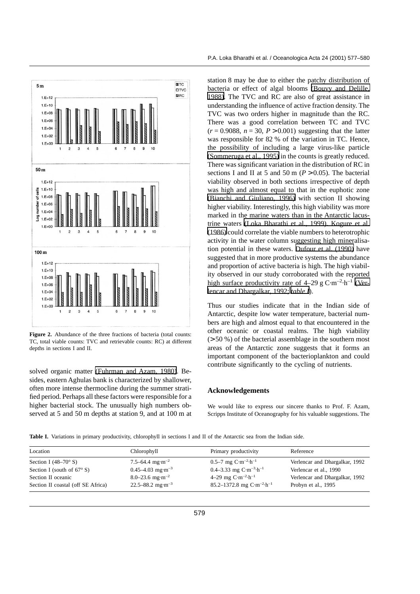<span id="page-2-0"></span>

Figure 2. Abundance of the three fractions of bacteria (total counts: TC, total viable counts: TVC and retrievable counts: RC) at different depths in sections I and II.

solved organic matter [\(Fuhrman and Azam, 1980\)](#page-3-0). Besides, eastern Aghulas bank is characterized by shallower, often more intense thermocline during the summer stratified period. Perhaps all these factors were responsible for a higher bacterial stock. The unusually high numbers observed at 5 and 50 m depths at station 9, and at 100 m at station 8 may be due to either the patchy distribution of bacteria or effect of algal blooms [\(Bouvy and Delille,](#page-3-0) [1988\)](#page-3-0). The TVC and RC are also of great assistance in understanding the influence of active fraction density. The TVC was two orders higher in magnitude than the RC. There was a good correlation between TC and TVC  $(r = 0.9088, n = 30, P > 0.001)$  suggesting that the latter was responsible for 82 % of the variation in TC. Hence, the possibility of including a large virus-like particle [\(Sommeruga et al., 1995\)](#page-3-0) in the counts is greatly reduced. There was significant variation in the distribution of RC in sections I and II at 5 and 50 m  $(P > 0.05)$ . The bacterial viability observed in both sections irrespective of depth was high and almost equal to that in the euphotic zone [\(Bianchi and Giuliano, 1996\)](#page-3-0) with section II showing higher viability. Interestingly, this high viability was more marked in the marine waters than in the Antarctic lacustrine waters [\(Loka Bharathi et al., 1999\). Kogure et al.](#page-3-0) [\(1986\)](#page-3-0) could correlate the viable numbers to heterotrophic activity in the water column suggesting high mineralisation potential in these waters. [Dufour et al. \(1990\)](#page-3-0) have suggested that in more productive systems the abundance and proportion of active bacteria is high. The high viability observed in our study corroborated with the reported high surface productivity rate of  $4-29$  g  $C \cdot m^{-2} \cdot h^{-1}$  [\(Ver](#page-3-0)[lencar and Dhargalkar, 1992;](#page-3-0) *table I*).

Thus our studies indicate that in the Indian side of Antarctic, despite low water temperature, bacterial numbers are high and almost equal to that encountered in the other oceanic or coastal realms. The high viability (> 50 %) of the bacterial assemblage in the southern most areas of the Antarctic zone suggests that it forms an important component of the bacterioplankton and could contribute significantly to the cycling of nutrients.

#### **Acknowledgements**

We would like to express our sincere thanks to Prof. F. Azam, Scripps Institute of Oceanography for his valuable suggestions. The

**Table I.** Variations in primary productivity, chlorophyll in sections I and II of the Antarctic sea from the Indian side.

| Location                            | Chlorophyll                      | Primary productivity             | Reference                      |
|-------------------------------------|----------------------------------|----------------------------------|--------------------------------|
| Section I $(48-70^{\circ} S)$       | 7.5–64.4 mg·m <sup>-2</sup>      | 0.5–7 mg $C·m-2·h-1$             | Verlencar and Dhargalkar, 1992 |
| Section I (south of $67^{\circ}$ S) | $0.45 - 4.03$ mg·m <sup>-3</sup> | 0.4–3.33 mg $C·m-3·h-1$          | Verlencar et al., 1990         |
| Section II oceanic                  | 8.0–23.6 mg·m <sup>-2</sup>      | 4–29 mg $C·m-2·h-1$              | Verlencar and Dhargalkar, 1992 |
| Section II coastal (off SE Africa)  | 22.5–88.2 mg·m <sup>-3</sup>     | 85.2–1372.8 mg $C·m^{-2}·h^{-1}$ | Probyn et al., 1995            |